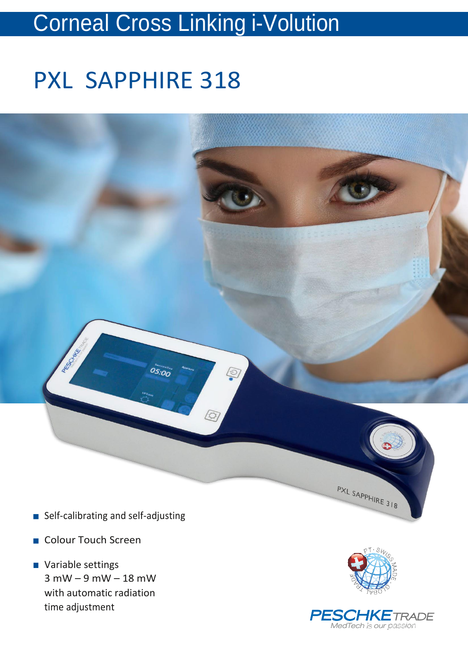## Corneal Cross Linking i-Volution

# PXL SAPPHIRE 318



- Self-calibrating and self-adjusting
- Colour Touch Screen
- **Variable settings** 3 mW – 9 mW – 18 mW with automatic radiation time adjustment



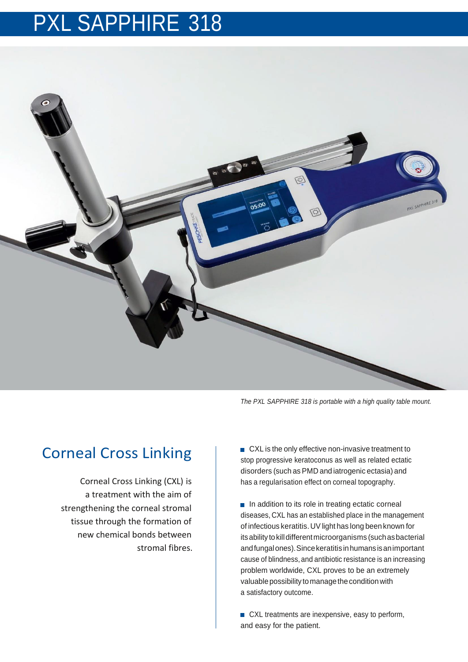### PXL SAPPHIRE 318



*The PXL SAPPHIRE 318 is portable with a high quality table mount.*

### Corneal Cross Linking

Corneal Cross Linking (CXL) is a treatment with the aim of strengthening the corneal stromal tissue through the formation of new chemical bonds between stromal fibres. ■ CXL is the only effective non-invasive treatment to stop progressive keratoconus as well as related ectatic disorders (such as PMD and iatrogenic ectasia) and has a regularisation effect on corneal topography.

 $\blacksquare$  In addition to its role in treating ectatic corneal diseases, CXL has an established place in the management of infectious keratitis. UV light has long been known for its ability to kill different microorganisms (such as bacterial andfungalones).Sincekeratitis inhumansisanimportant cause of blindness, and antibiotic resistance is an increasing problem worldwide, CXL proves to be an extremely valuable possibility to manage the condition with a satisfactory outcome.

■ CXL treatments are inexpensive, easy to perform, and easy for the patient.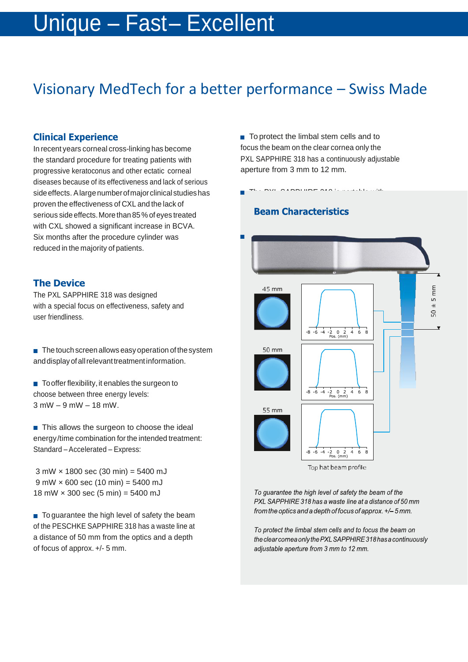### Unique – Fast– Excellent

### Visionary MedTech for a better performance – Swiss Made

#### **Clinical Experience**

In recent years corneal cross-linking has become the standard procedure for treating patients with progressive keratoconus and other ectatic corneal diseases because of its effectiveness and lack of serious side effects. A large number of major clinical studies has proven the effectiveness of CXL and the lack of serious side effects.More than 85%of eyes treated with CXL showed a significant increase in BCVA. Six months after the procedure cylinder was reduced in the majority of patients.

#### **The Device**

The PXL SAPPHIRE 318 was designed with a special focus on effectiveness, safety and user friendliness.

 $\blacksquare$  The touch screen allows easy operation of the system and display of all relevant treatment information.

 $\blacksquare$  To offer flexibility, it enables the surgeon to choose between three energy levels: 3 mW – 9 mW – 18 mW.

 $\blacksquare$  This allows the surgeon to choose the ideal energy/time combination for the intended treatment: Standard – Accelerated – Express:

3 mW × 1800 sec (30 min) = 5400 mJ  $9$  mW  $\times$  600 sec (10 min) = 5400 mJ 18 mW  $\times$  300 sec (5 min) = 5400 mJ

■ To guarantee the high level of safety the beam of the PESCHKE SAPPHIRE 318 has a waste line at a distance of 50 mm from the optics and a depth of focus of approx. +/- 5 mm.

■ To protect the limbal stem cells and to focus the beam on the clear cornea only the PXL SAPPHIRE 318 has a continuously adjustable aperture from 3 mm to 12 mm.

#### **Beam Characteristics**

CAPPHIRE 318 is



Top hat beam profile

To guarantee the high level of safety the beam of the PXL SAPPHIRE 318 has a waste line at a distance of 50 mm from the optics and a depth of focus of approx. +/-5 mm.

To protect the limbal stem cells and to focus the beam on the clear cornea only the PXL SAPPHIRE 318 has a continuously adjustable aperture from 3 mm to 12 mm.